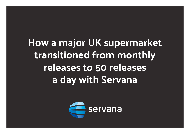**How a major UK supermarket transitioned from monthly releases to 50 releases a day with Servana**

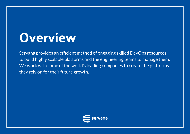### **Overview**

Servana provides an efficient method of engaging skilled DevOps resources to build highly scalable platforms and the engineering teams to manage them. We work with some of the world's leading companies to create the platforms they rely on for their future growth.

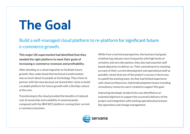# **The Goal**

#### Build a self-managed cloud platform to re-platform for significant future e-commerce growth.

**This major UK supermarket had identified that they needed the right platform to meet their goals of increasing e-commerce revenues and profitability.**

After deciding on a cloud migration to facilitate future growth, they understood that technical transformation was as much about its people as technology. They chose to partner with Servana because we shared their vision to build a scalable platform for future growth with a DevOps culture at the core.

Transitioning to the cloud provided the benefits of reduced cost of ownership and scalability in seasonal peaks compared with the IBM WCS platform running their current e-commerce business.

While from a technical perspective, the business had goals of delivering releases more frequently with high levels of certainty and zero disruptions, they also had essential staff based objectives to deliver on. Their commitment to retaining as many of their current development and operational staff as possible, meant that one of the project's success criteria was to upskill the existing team. As they had limited experience with cloud architectures, hybrid development teams including consultancy resources were created to support this goal.

Improving developer productivity was identified as an essential objective to support the successful delivery of the project and integration with existing operational processes like operations and change management.

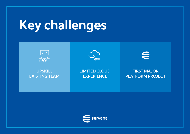# **Key challenges**



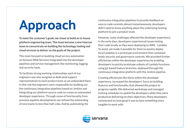# **Approach**

**To meet the customer's goals, we chose to build an in-house platform engineering team. This team became a new internal team to concentrate on building the technology tooling and cloud services to deliver on the goals of the project.** 

This team focused on building cloud service automation on Amazon Web Services integrated into the developer pipelines and service management like monitoring, logging, and security tools.

To facilitate strong working relationships each of our engineers was also assigned as dedicated support representatives to each product team as we onboarded them. In this role the engineers were responsible for building out the continuous integration pipelines based on Jenkins and integrating our platform source-code to create an automated developer experience. Through reuse of functionality from previous pipeline developments we refined the onboarding of new teams to less than half a day. And by automating the

continuous integration pipelines to provide feedback on source-code commits almost instantaneously, developers didn't need to know anything about the underlying hosting platform to join a product team.

However, some challenges affected the developer experience; in the early days, developers experienced issues testing their code locally as they were deploying to AWS - Lambda. To assist, we made it possible for them to quickly deploy local Lambdas in a prototype environment that contained fewer security and governance controls. We provided further efficiencies within the developer experience by enabling developers to quickly prototype subsets of Lambda functions using git-based feature branches, deployed through the continuous integration platform with the Jenkins pipeline.

Creating efficiencies like these within the developer experience, increased the developers' focus on building features and functionality that allowed the project to progress rapidly. We delivered workshops and managed training schedules to upskill the developers while they were productive delivering on their objectives. Many developers commented on how good it was to have something more tangible to work with.

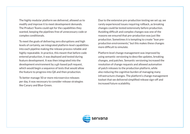The highly modular platform we delivered, allowed us to modify and improve it to meet development demands. The Product Teams could opt for the capabilities they wanted, keeping the pipelines free of unnecessary code or complex conditionals.

To meet the goals of delivering zero disruptions and high levels of certainty, we integrated platform-level capabilities into each pipeline making the release process reliable and highly repeatable. In practice, this meant that before code entered production, it was deployed and tested during feature development. It was then integrated into the development environment by a git-based pull request, which would begin a sequence of tests that would allow the feature to progress into QA and then production.

To better manage 50 or more microservice releases per day, it was necessary to consider release strategies like Canary and Blue-Green.

Due to the extensive pre-production testing we set up, we rarely experienced issues requiring rollback, as breaking changes could be tested extensively before production. Avoiding difficult and complex changes was one of the reasons we ensured that pre-production was just like production. Sometimes it is tempting to create "lean preproduction environments," but this makes these changes more difficult to simulate.

Platform level change management was improved by using semantic versioning to describe updates, breaking changes, and patches. Semantic versioning increased the resolution of change requests and allowed automation of patch releases to the production platform, while also reducing the cognitive burden of managing many infrastructure changes. The platform's change management toolset that we delivered simplified release sign-off and increased future scalability.

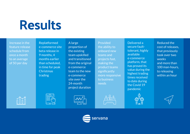# **Results**

Increase in the feature release schedule from once a month to an average of 50 per day

Replatformed e-commerce site beta release in 9 months, 4 months earlier than scheduled, in time for peak **Christmas** trading

A large proportion of the existing team upskilled and transitioned from the original e-commerce team to the new e-commerce site over the 24-month project duration

Provided the ability to onboard new teams and projects fast, making the product teams significantly more responsive to business needs

Delivered a secure faulttolerant, highly available e-commerce platform, that has proved its value during the highest trading times received to date during the Covid 19 pandemic



Reduced the cost of releases, that previously took over two weeks and more than 100 man-hours, to releasing within an hour









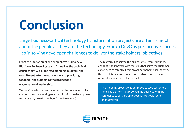# **Conclusion**

Large business-critical technology transformation projects are often as much about the people as they are the technology. From a DevOps perspective, success lies in solving developer challenges to deliver the stakeholders' objectives.

**From the inception of the project, we built a new Platform Engineering team. As well as the technical consultancy, we supported planning, budgets, and recruitment into the team while also providing feedback and support to the project and organisational leadership.** 

We considered our main customers as the developers, which created a healthy working relationship with the development teams as they grew in numbers from 5 to over 80.

The platform has served the business well from its launch, enabling it to innovate with features that serve the customer experience constantly. From an online shopping perspective, the overall time it took for customers to complete a shop reduced because pages loaded faster.

The shopping process was optimised to save customers time. The platform has provided the business with the confidence to set very ambitious future goals for its online growth.